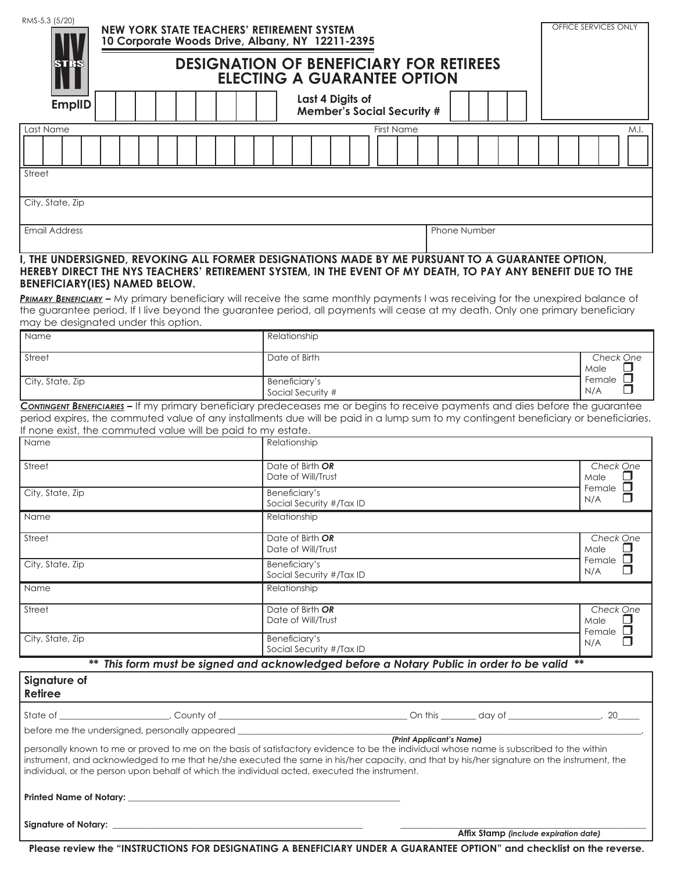| RMS-5.3 (5/20)                                                                                                                                                                                                                                                                                                                                                                                                                                                                                                                                                      |  |                                                                                      |  |  |  |  |  |  |  |                               |  |                                        | <b>NEW YORK STATE TEACHERS' RETIREMENT SYSTEM</b> | 10 Corporate Woods Drive, Albany, NY 12211-2395                                             |  |                          |  |  |              |  |                                       |  |  |  | OFFICE SERVICES ONLY |             |               |                |  |  |
|---------------------------------------------------------------------------------------------------------------------------------------------------------------------------------------------------------------------------------------------------------------------------------------------------------------------------------------------------------------------------------------------------------------------------------------------------------------------------------------------------------------------------------------------------------------------|--|--------------------------------------------------------------------------------------|--|--|--|--|--|--|--|-------------------------------|--|----------------------------------------|---------------------------------------------------|---------------------------------------------------------------------------------------------|--|--------------------------|--|--|--------------|--|---------------------------------------|--|--|--|----------------------|-------------|---------------|----------------|--|--|
| STRS                                                                                                                                                                                                                                                                                                                                                                                                                                                                                                                                                                |  | <b>DESIGNATION OF BENEFICIARY FOR RETIREES</b><br><b>ELECTING A GUARANTEE OPTION</b> |  |  |  |  |  |  |  |                               |  |                                        |                                                   |                                                                                             |  |                          |  |  |              |  |                                       |  |  |  |                      |             |               |                |  |  |
| <b>EmplID</b>                                                                                                                                                                                                                                                                                                                                                                                                                                                                                                                                                       |  | Last 4 Digits of<br><b>Member's Social Security #</b>                                |  |  |  |  |  |  |  |                               |  |                                        |                                                   |                                                                                             |  |                          |  |  |              |  |                                       |  |  |  |                      |             |               |                |  |  |
| Last Name                                                                                                                                                                                                                                                                                                                                                                                                                                                                                                                                                           |  |                                                                                      |  |  |  |  |  |  |  |                               |  |                                        |                                                   |                                                                                             |  | First Name               |  |  |              |  |                                       |  |  |  |                      |             |               | M.I.           |  |  |
|                                                                                                                                                                                                                                                                                                                                                                                                                                                                                                                                                                     |  |                                                                                      |  |  |  |  |  |  |  |                               |  |                                        |                                                   |                                                                                             |  |                          |  |  |              |  |                                       |  |  |  |                      |             |               |                |  |  |
| Street                                                                                                                                                                                                                                                                                                                                                                                                                                                                                                                                                              |  |                                                                                      |  |  |  |  |  |  |  |                               |  |                                        |                                                   |                                                                                             |  |                          |  |  |              |  |                                       |  |  |  |                      |             |               |                |  |  |
| City, State, Zip                                                                                                                                                                                                                                                                                                                                                                                                                                                                                                                                                    |  |                                                                                      |  |  |  |  |  |  |  |                               |  |                                        |                                                   |                                                                                             |  |                          |  |  |              |  |                                       |  |  |  |                      |             |               |                |  |  |
| <b>Email Address</b>                                                                                                                                                                                                                                                                                                                                                                                                                                                                                                                                                |  |                                                                                      |  |  |  |  |  |  |  |                               |  |                                        |                                                   |                                                                                             |  |                          |  |  | Phone Number |  |                                       |  |  |  |                      |             |               |                |  |  |
| I, THE UNDERSIGNED, REVOKING ALL FORMER DESIGNATIONS MADE BY ME PURSUANT TO A GUARANTEE OPTION,<br>HEREBY DIRECT THE NYS TEACHERS' RETIREMENT SYSTEM, IN THE EVENT OF MY DEATH, TO PAY ANY BENEFIT DUE TO THE<br><b>BENEFICIARY(IES) NAMED BELOW.</b><br>PRIMARY BENEFICIARY - My primary beneficiary will receive the same monthly payments I was receiving for the unexpired balance of<br>the guarantee period. If I live beyond the guarantee period, all payments will cease at my death. Only one primary beneficiary<br>may be designated under this option. |  |                                                                                      |  |  |  |  |  |  |  |                               |  |                                        |                                                   |                                                                                             |  |                          |  |  |              |  |                                       |  |  |  |                      |             |               |                |  |  |
| Name                                                                                                                                                                                                                                                                                                                                                                                                                                                                                                                                                                |  |                                                                                      |  |  |  |  |  |  |  | Relationship                  |  |                                        |                                                   |                                                                                             |  |                          |  |  |              |  |                                       |  |  |  |                      |             |               |                |  |  |
| Street                                                                                                                                                                                                                                                                                                                                                                                                                                                                                                                                                              |  |                                                                                      |  |  |  |  |  |  |  | Date of Birth                 |  |                                        |                                                   |                                                                                             |  |                          |  |  |              |  |                                       |  |  |  |                      | Male        |               | Check One      |  |  |
| City, State, Zip                                                                                                                                                                                                                                                                                                                                                                                                                                                                                                                                                    |  |                                                                                      |  |  |  |  |  |  |  | Beneficiary's                 |  | Social Security #                      |                                                   |                                                                                             |  |                          |  |  |              |  |                                       |  |  |  |                      | N/A         | Female $\Box$ |                |  |  |
| period expires, the commuted value of any installments due will be paid in a lump sum to my contingent beneficiary or beneficiaries.<br>If none exist, the commuted value will be paid to my estate.<br>Name<br>Street<br>City, State, Zip                                                                                                                                                                                                                                                                                                                          |  |                                                                                      |  |  |  |  |  |  |  | Relationship<br>Beneficiary's |  | Date of Birth OR<br>Date of Will/Trust |                                                   |                                                                                             |  |                          |  |  |              |  |                                       |  |  |  |                      | Male        | Female        | Check One<br>ш |  |  |
| Name                                                                                                                                                                                                                                                                                                                                                                                                                                                                                                                                                                |  |                                                                                      |  |  |  |  |  |  |  | Relationship                  |  |                                        | Social Security #/Tax ID                          |                                                                                             |  |                          |  |  |              |  |                                       |  |  |  |                      | N/A         |               | П              |  |  |
| Street                                                                                                                                                                                                                                                                                                                                                                                                                                                                                                                                                              |  |                                                                                      |  |  |  |  |  |  |  |                               |  | Date of Birth OR                       |                                                   |                                                                                             |  |                          |  |  |              |  |                                       |  |  |  |                      |             |               | Check One      |  |  |
| City, State, Zip                                                                                                                                                                                                                                                                                                                                                                                                                                                                                                                                                    |  |                                                                                      |  |  |  |  |  |  |  | Beneficiary's                 |  | Date of Will/Trust                     |                                                   |                                                                                             |  |                          |  |  |              |  |                                       |  |  |  |                      | Male<br>N/A | Female        |                |  |  |
| Name                                                                                                                                                                                                                                                                                                                                                                                                                                                                                                                                                                |  |                                                                                      |  |  |  |  |  |  |  | Relationship                  |  |                                        | Social Security #/Tax ID                          |                                                                                             |  |                          |  |  |              |  |                                       |  |  |  |                      |             |               |                |  |  |
| Street                                                                                                                                                                                                                                                                                                                                                                                                                                                                                                                                                              |  |                                                                                      |  |  |  |  |  |  |  |                               |  | Date of Birth OR<br>Date of Will/Trust |                                                   |                                                                                             |  |                          |  |  |              |  |                                       |  |  |  |                      | Male        |               | Check One      |  |  |
| City, State, Zip                                                                                                                                                                                                                                                                                                                                                                                                                                                                                                                                                    |  |                                                                                      |  |  |  |  |  |  |  | Beneficiary's                 |  |                                        | Social Security #/Tax ID                          |                                                                                             |  |                          |  |  |              |  |                                       |  |  |  |                      | N/A         | Female        |                |  |  |
|                                                                                                                                                                                                                                                                                                                                                                                                                                                                                                                                                                     |  |                                                                                      |  |  |  |  |  |  |  |                               |  |                                        |                                                   | ** This form must be signed and acknowledged before a Notary Public in order to be valid ** |  |                          |  |  |              |  |                                       |  |  |  |                      |             |               |                |  |  |
| Signature of<br><b>Retiree</b>                                                                                                                                                                                                                                                                                                                                                                                                                                                                                                                                      |  |                                                                                      |  |  |  |  |  |  |  |                               |  |                                        |                                                   |                                                                                             |  |                          |  |  |              |  |                                       |  |  |  |                      |             |               |                |  |  |
|                                                                                                                                                                                                                                                                                                                                                                                                                                                                                                                                                                     |  |                                                                                      |  |  |  |  |  |  |  |                               |  |                                        |                                                   |                                                                                             |  |                          |  |  |              |  |                                       |  |  |  |                      |             |               |                |  |  |
| before me the undersigned, personally appeared _________________________________<br>personally known to me or proved to me on the basis of satisfactory evidence to be the individual whose name is subscribed to the within<br>instrument, and acknowledged to me that he/she executed the same in his/her capacity, and that by his/her signature on the instrument, the<br>individual, or the person upon behalf of which the individual acted, executed the instrument.                                                                                         |  |                                                                                      |  |  |  |  |  |  |  |                               |  |                                        |                                                   |                                                                                             |  | (Print Applicant's Name) |  |  |              |  |                                       |  |  |  |                      |             |               |                |  |  |
|                                                                                                                                                                                                                                                                                                                                                                                                                                                                                                                                                                     |  |                                                                                      |  |  |  |  |  |  |  |                               |  |                                        |                                                   |                                                                                             |  |                          |  |  |              |  |                                       |  |  |  |                      |             |               |                |  |  |
|                                                                                                                                                                                                                                                                                                                                                                                                                                                                                                                                                                     |  |                                                                                      |  |  |  |  |  |  |  |                               |  |                                        |                                                   |                                                                                             |  |                          |  |  |              |  | Affix Stamp (include expiration date) |  |  |  |                      |             |               |                |  |  |

**Please review the "INSTRUCTIONS FOR DESIGNATING A BENEFICIARY UNDER A GUARANTEE OPTION" and checklist on the reverse.**